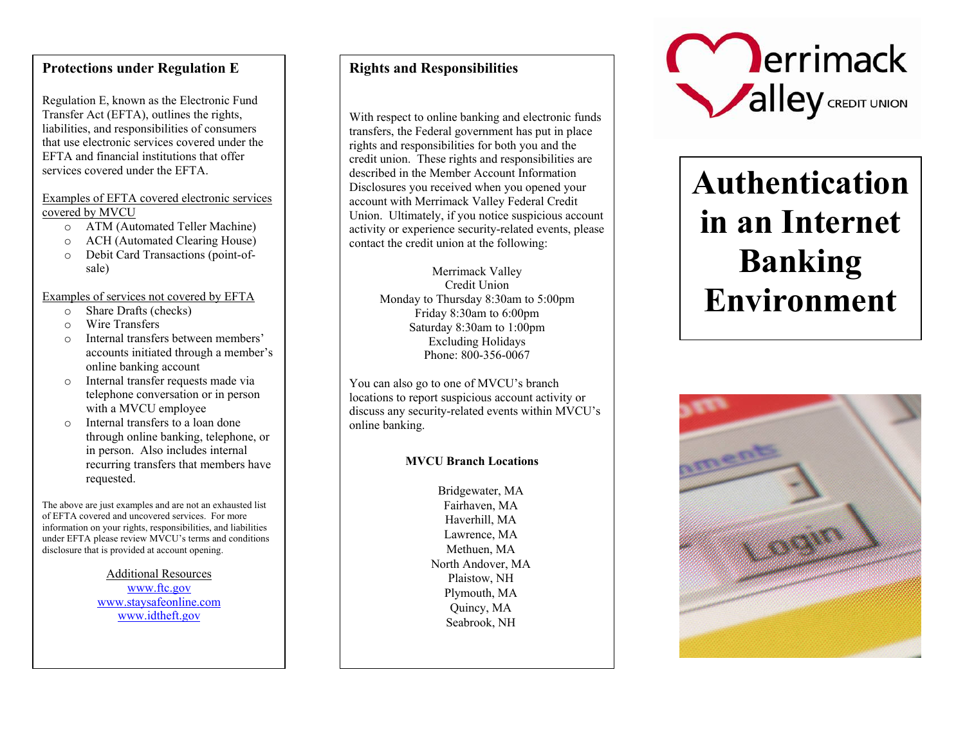## **Protections under Regulation E**

Regulation E, known as the Electronic Fund Transfer Act (EFTA), outlines the rights, liabilities, and responsibilities of consumers that use electronic services covered under the EFTA and financial institutions that offer services covered under the EFTA.

#### Examples of EFTA covered electronic services covered by MVCU

- o ATM (Automated Teller Machine)
- o ACH (Automated Clearing House)
- o Debit Card Transactions (point-ofsale)

#### Examples of services not covered by EFTA

- oShare Drafts (checks)
- oWire Transfers
- o Internal transfers between members' accounts initiated through a member's online banking account
- o Internal transfer requests made via telephone conversation or in person with a MVCU employee
- o Internal transfers to a loan done through online banking, telephone, or in person. Also includes internal recurring transfers that members have requested.

The above are just examples and are not an exhausted list of EFTA covered and uncovered services. For more information on your rights, responsibilities, and liabilities under EFTA please review MVCU's terms and conditions disclosure that is provided at account opening.

> Additional Resources www.ftc.gov www.staysafeonline.com www.idtheft.gov

# **Rights and Responsibilities**

With respect to online banking and electronic funds transfers, the Federal government has put in place rights and responsibilities for both you and the credit union. These rights and responsibilities are described in the Member Account Information Disclosures you received when you opened your account with Merrimack Valley Federal Credit Union. Ultimately, if you notice suspicious account activity or experience security-related events, please contact the credit union at the following:

> Merrimack Valley Credit Union Monday to Thursday 8:30am to 5:00pm Friday 8:30am to 6:00pm Saturday 8:30am to 1:00pm Excluding Holidays Phone: 800-356-0067

You can also go to one of MVCU's branch locations to report suspicious account activity or discuss any security-related events within MVCU's online banking.

### **MVCU Branch Locations**

Bridgewater, MA Fairhaven, MA Haverhill, MA Lawrence, MA Methuen, MA North Andover, MAPlaistow, NH Plymouth, MA Quincy, MASeabrook, NH



# **Authentication in an Internet Banking Environment**